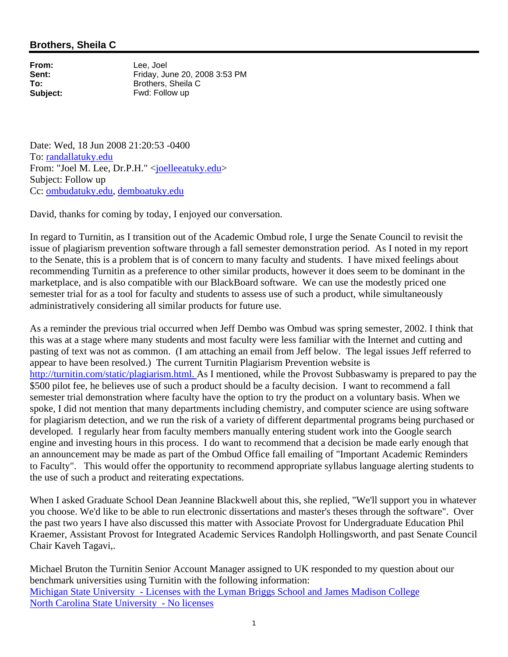## **Brothers, Sheila C**

**From:** Lee, Joel<br> **Sent:** Fridav. Ju

**Sent:** Friday, June 20, 2008 3:53 PM<br> **To:** Brothers. Sheila C **To:** Brothers, Sheila C **Subject:** Fwd: Follow up

Date: Wed, 18 Jun 2008 21:20:53 -0400 To: randallatuky.edu From: "Joel M. Lee, Dr.P.H." <joelleeatuky.edu> Subject: Follow up Cc: ombudatuky.edu, demboatuky.edu

David, thanks for coming by today, I enjoyed our conversation.

In regard to Turnitin, as I transition out of the Academic Ombud role, I urge the Senate Council to revisit the issue of plagiarism prevention software through a fall semester demonstration period. As I noted in my report to the Senate, this is a problem that is of concern to many faculty and students. I have mixed feelings about recommending Turnitin as a preference to other similar products, however it does seem to be dominant in the marketplace, and is also compatible with our BlackBoard software. We can use the modestly priced one semester trial for as a tool for faculty and students to assess use of such a product, while simultaneously administratively considering all similar products for future use.

As a reminder the previous trial occurred when Jeff Dembo was Ombud was spring semester, 2002. I think that this was at a stage where many students and most faculty were less familiar with the Internet and cutting and pasting of text was not as common. (I am attaching an email from Jeff below. The legal issues Jeff referred to appear to have been resolved.) The current Turnitin Plagiarism Prevention website is http://turnitin.com/static/plagiarism.html. As I mentioned, while the Provost Subbaswamy is prepared to pay the \$500 pilot fee, he believes use of such a product should be a faculty decision. I want to recommend a fall semester trial demonstration where faculty have the option to try the product on a voluntary basis. When we spoke, I did not mention that many departments including chemistry, and computer science are using software for plagiarism detection, and we run the risk of a variety of different departmental programs being purchased or developed. I regularly hear from faculty members manually entering student work into the Google search engine and investing hours in this process. I do want to recommend that a decision be made early enough that an announcement may be made as part of the Ombud Office fall emailing of "Important Academic Reminders to Faculty". This would offer the opportunity to recommend appropriate syllabus language alerting students to the use of such a product and reiterating expectations.

When I asked Graduate School Dean Jeannine Blackwell about this, she replied, "We'll support you in whatever you choose. We'd like to be able to run electronic dissertations and master's theses through the software". Over the past two years I have also discussed this matter with Associate Provost for Undergraduate Education Phil Kraemer, Assistant Provost for Integrated Academic Services Randolph Hollingsworth, and past Senate Council Chair Kaveh Tagavi,.

Michael Bruton the Turnitin Senior Account Manager assigned to UK responded to my question about our benchmark universities using Turnitin with the following information: Michigan State University - Licenses with the Lyman Briggs School and James Madison College North Carolina State University - No licenses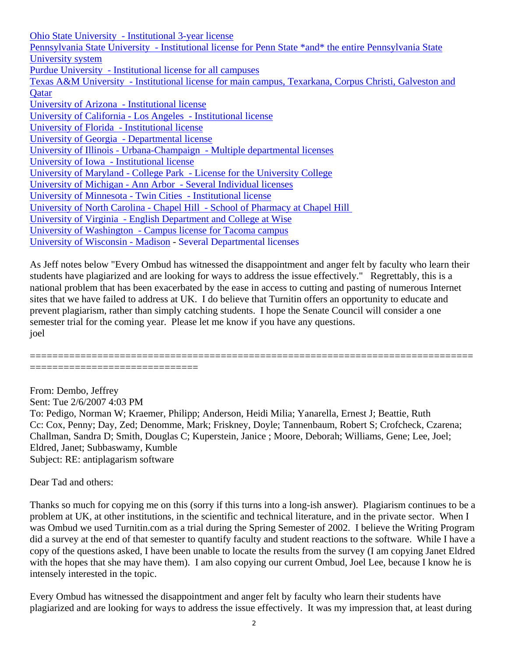Ohio State University - Institutional 3-year license Pennsylvania State University - Institutional license for Penn State \*and\* the entire Pennsylvania State University system Purdue University - Institutional license for all campuses Texas A&M University - Institutional license for main campus, Texarkana, Corpus Christi, Galveston and **O**atar University of Arizona - Institutional license University of California - Los Angeles - Institutional license University of Florida - Institutional license University of Georgia - Departmental license University of Illinois - Urbana-Champaign - Multiple departmental licenses University of Iowa - Institutional license University of Maryland - College Park - License for the University College University of Michigan - Ann Arbor - Several Individual licenses University of Minnesota - Twin Cities - Institutional license University of North Carolina - Chapel Hill - School of Pharmacy at Chapel Hill University of Virginia - English Department and College at Wise University of Washington - Campus license for Tacoma campus University of Wisconsin - Madison - Several Departmental licenses

As Jeff notes below "Every Ombud has witnessed the disappointment and anger felt by faculty who learn their students have plagiarized and are looking for ways to address the issue effectively." Regrettably, this is a national problem that has been exacerbated by the ease in access to cutting and pasting of numerous Internet sites that we have failed to address at UK. I do believe that Turnitin offers an opportunity to educate and prevent plagiarism, rather than simply catching students. I hope the Senate Council will consider a one semester trial for the coming year. Please let me know if you have any questions. joel

===============================================================================

From: Dembo, Jeffrey Sent: Tue 2/6/2007 4:03 PM To: Pedigo, Norman W; Kraemer, Philipp; Anderson, Heidi Milia; Yanarella, Ernest J; Beattie, Ruth Cc: Cox, Penny; Day, Zed; Denomme, Mark; Friskney, Doyle; Tannenbaum, Robert S; Crofcheck, Czarena; Challman, Sandra D; Smith, Douglas C; Kuperstein, Janice ; Moore, Deborah; Williams, Gene; Lee, Joel; Eldred, Janet; Subbaswamy, Kumble Subject: RE: antiplagarism software

Dear Tad and others:

==============================

Thanks so much for copying me on this (sorry if this turns into a long-ish answer). Plagiarism continues to be a problem at UK, at other institutions, in the scientific and technical literature, and in the private sector. When I was Ombud we used Turnitin.com as a trial during the Spring Semester of 2002. I believe the Writing Program did a survey at the end of that semester to quantify faculty and student reactions to the software. While I have a copy of the questions asked, I have been unable to locate the results from the survey (I am copying Janet Eldred with the hopes that she may have them). I am also copying our current Ombud, Joel Lee, because I know he is intensely interested in the topic.

Every Ombud has witnessed the disappointment and anger felt by faculty who learn their students have plagiarized and are looking for ways to address the issue effectively. It was my impression that, at least during